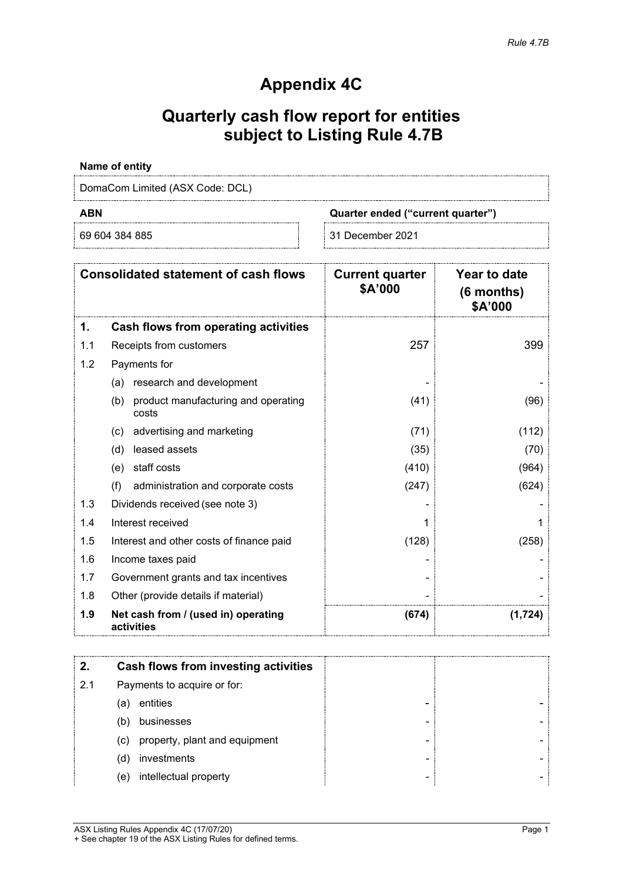## **Appendix 4C**

# **Quarterly cash flow report for entities subject to Listing Rule 4.7B**

### **Name of entity**

DomaCom Limited (ASX Code: DCL)

**ABN Quarter ended ("current quarter")**

69 604 384 885 31 December 2021

|     | <b>Consolidated statement of cash flows</b>         | <b>Current quarter</b><br>\$A'000 | Year to date<br>$(6$ months)<br>\$A'000 |
|-----|-----------------------------------------------------|-----------------------------------|-----------------------------------------|
| 1.  | Cash flows from operating activities                |                                   |                                         |
| 1.1 | Receipts from customers                             | 257                               | 399                                     |
| 1.2 | Payments for                                        |                                   |                                         |
|     | research and development<br>(a)                     |                                   |                                         |
|     | product manufacturing and operating<br>(b)<br>costs | (41)                              | (96)                                    |
|     | advertising and marketing<br>(c)                    | (71)                              | (112)                                   |
|     | leased assets<br>(d)                                | (35)                              | (70)                                    |
|     | staff costs<br>(e)                                  | (410)                             | (964)                                   |
|     | (f)<br>administration and corporate costs           | (247)                             | (624)                                   |
| 1.3 | Dividends received (see note 3)                     |                                   |                                         |
| 1.4 | Interest received                                   |                                   |                                         |
| 1.5 | Interest and other costs of finance paid            | (128)                             | (258)                                   |
| 1.6 | Income taxes paid                                   |                                   |                                         |
| 1.7 | Government grants and tax incentives                |                                   |                                         |
| 1.8 | Other (provide details if material)                 |                                   |                                         |
| 1.9 | Net cash from / (used in) operating<br>activities   | (674)                             | (1,724)                                 |

|     |                             | <b>Cash flows from investing activities</b> |  |
|-----|-----------------------------|---------------------------------------------|--|
| 2.1 | Payments to acquire or for: |                                             |  |
|     | (a)                         | entities                                    |  |
|     | (b)                         | businesses                                  |  |
|     | (c)                         | property, plant and equipment               |  |
|     | (d)                         | investments                                 |  |
|     | (e)                         | intellectual property                       |  |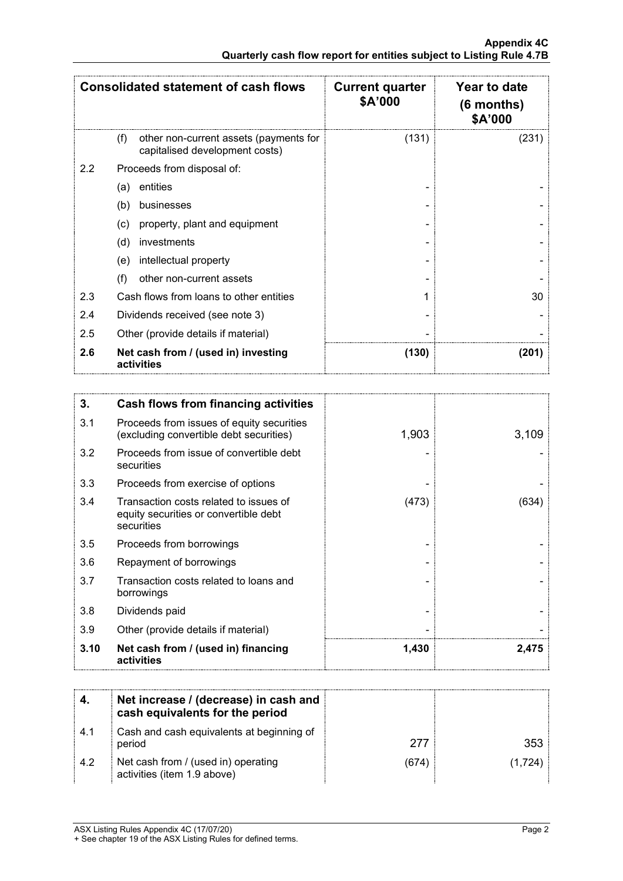| <b>Consolidated statement of cash flows</b> |                                                                                 | <b>Current quarter</b><br>\$A'000 | Year to date<br>$(6$ months)<br>\$A'000 |
|---------------------------------------------|---------------------------------------------------------------------------------|-----------------------------------|-----------------------------------------|
|                                             | other non-current assets (payments for<br>(f)<br>capitalised development costs) | (131)                             | (231)                                   |
| 2.2                                         | Proceeds from disposal of:                                                      |                                   |                                         |
|                                             | entities<br>(a)                                                                 |                                   |                                         |
|                                             | (b)<br>businesses                                                               |                                   |                                         |
|                                             | property, plant and equipment<br>(c)                                            |                                   |                                         |
|                                             | (d)<br>investments                                                              |                                   |                                         |
|                                             | intellectual property<br>(e)                                                    |                                   |                                         |
|                                             | (f)<br>other non-current assets                                                 |                                   |                                         |
| 2.3                                         | Cash flows from loans to other entities                                         |                                   | 30                                      |
| 2.4                                         | Dividends received (see note 3)                                                 |                                   |                                         |
| 2.5                                         | Other (provide details if material)                                             |                                   |                                         |
| 2.6                                         | Net cash from / (used in) investing<br>activities                               | (130)                             | (201)                                   |

| 3.   | Cash flows from financing activities                                                          |       |       |
|------|-----------------------------------------------------------------------------------------------|-------|-------|
| 3.1  | Proceeds from issues of equity securities<br>(excluding convertible debt securities)          | 1,903 | 3,109 |
| 3.2  | Proceeds from issue of convertible debt<br>securities                                         |       |       |
| 3.3  | Proceeds from exercise of options                                                             |       |       |
| 3.4  | Transaction costs related to issues of<br>equity securities or convertible debt<br>securities | (473) | (634) |
| 3.5  | Proceeds from borrowings                                                                      |       |       |
| 3.6  | Repayment of borrowings                                                                       |       |       |
| 3.7  | Transaction costs related to loans and<br>borrowings                                          |       |       |
| 3.8  | Dividends paid                                                                                |       |       |
| 3.9  | Other (provide details if material)                                                           |       |       |
| 3.10 | Net cash from / (used in) financing<br>activities                                             | 1,430 | 2,475 |

|      | Net increase / (decrease) in cash and<br>cash equivalents for the period |       |         |
|------|--------------------------------------------------------------------------|-------|---------|
| -4.1 | Cash and cash equivalents at beginning of<br>period                      | 277   | 353.    |
| 4.2  | Net cash from / (used in) operating<br>activities (item 1.9 above)       | (674) | (1,724) |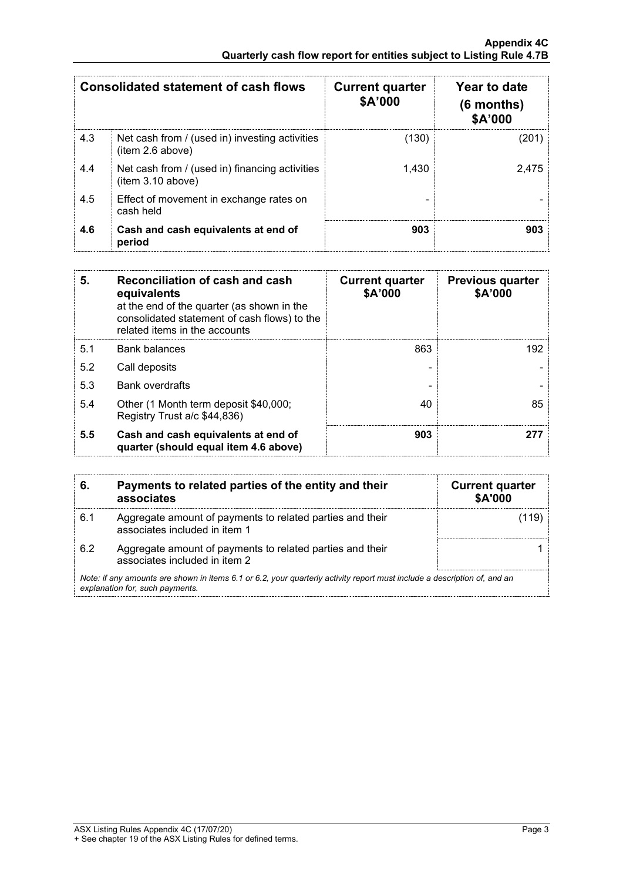| <b>Consolidated statement of cash flows</b> |                                                                     | <b>Current quarter</b><br>\$A'000 | Year to date<br>$(6$ months)<br>\$A'000 |
|---------------------------------------------|---------------------------------------------------------------------|-----------------------------------|-----------------------------------------|
| 4.3                                         | Net cash from / (used in) investing activities<br>(item 2.6 above)  | (130)                             |                                         |
| 4.4                                         | Net cash from / (used in) financing activities<br>(item 3.10 above) | 1.430                             | 2.475                                   |
| 4.5                                         | Effect of movement in exchange rates on<br>cash held                |                                   |                                         |
| 4.6                                         | Cash and cash equivalents at end of<br>period                       | 903                               |                                         |

| 5.  | Reconciliation of cash and cash<br>equivalents<br>at the end of the quarter (as shown in the<br>consolidated statement of cash flows) to the<br>related items in the accounts | <b>Current quarter</b><br>\$A'000 | <b>Previous quarter</b><br>\$A'000 |
|-----|-------------------------------------------------------------------------------------------------------------------------------------------------------------------------------|-----------------------------------|------------------------------------|
| 5.1 | Bank balances                                                                                                                                                                 | 863                               | 192                                |
| 5.2 | Call deposits                                                                                                                                                                 |                                   |                                    |
| 5.3 | <b>Bank overdrafts</b>                                                                                                                                                        |                                   |                                    |
| 5.4 | Other (1 Month term deposit \$40,000;<br>Registry Trust a/c \$44,836)                                                                                                         | 40                                | 85                                 |
| 5.5 | Cash and cash equivalents at end of<br>quarter (should equal item 4.6 above)                                                                                                  | 903                               |                                    |

|     | Payments to related parties of the entity and their<br>associates                                                                                           | <b>Current quarter</b><br><b>\$A'000</b> |
|-----|-------------------------------------------------------------------------------------------------------------------------------------------------------------|------------------------------------------|
| 6.1 | Aggregate amount of payments to related parties and their<br>associates included in item 1                                                                  |                                          |
| 6.2 | Aggregate amount of payments to related parties and their<br>associates included in item 2                                                                  |                                          |
|     | Note: if any amounts are shown in items 6.1 or 6.2, your quarterly activity report must include a description of, and an<br>explanation for, such payments. |                                          |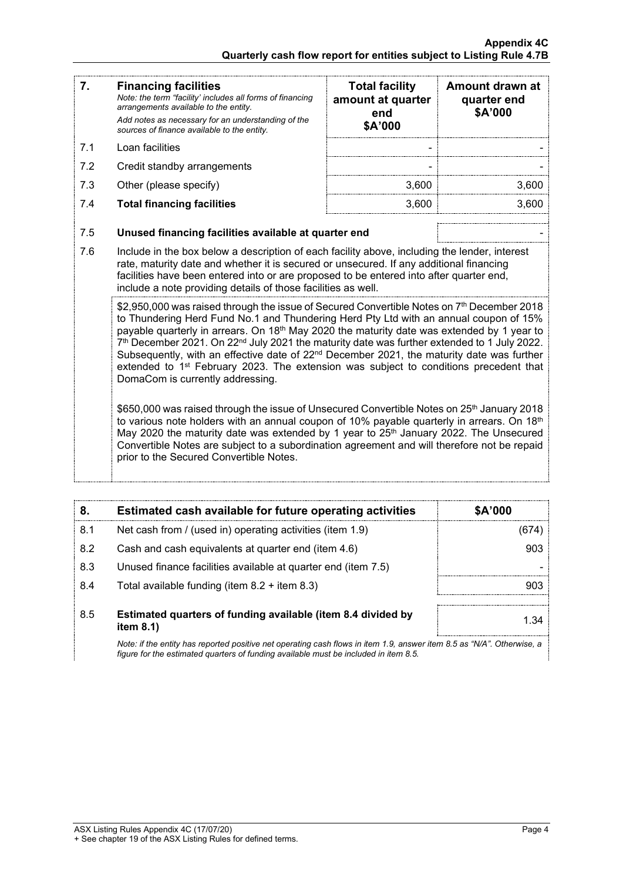| 7.                                                                                                                                                                                                                                                                                                                                                                                                                                                                                                                                                                                                                                                                                                                                                                                           | <b>Financing facilities</b><br>Note: the term "facility' includes all forms of financing<br>arrangements available to the entity.<br>Add notes as necessary for an understanding of the<br>sources of finance available to the entity.                                                                                                               | <b>Total facility</b><br>amount at quarter<br>end<br>\$A'000                               | Amount drawn at<br>quarter end<br>\$A'000 |  |
|----------------------------------------------------------------------------------------------------------------------------------------------------------------------------------------------------------------------------------------------------------------------------------------------------------------------------------------------------------------------------------------------------------------------------------------------------------------------------------------------------------------------------------------------------------------------------------------------------------------------------------------------------------------------------------------------------------------------------------------------------------------------------------------------|------------------------------------------------------------------------------------------------------------------------------------------------------------------------------------------------------------------------------------------------------------------------------------------------------------------------------------------------------|--------------------------------------------------------------------------------------------|-------------------------------------------|--|
| 7.1                                                                                                                                                                                                                                                                                                                                                                                                                                                                                                                                                                                                                                                                                                                                                                                          | Loan facilities                                                                                                                                                                                                                                                                                                                                      |                                                                                            |                                           |  |
| 7.2                                                                                                                                                                                                                                                                                                                                                                                                                                                                                                                                                                                                                                                                                                                                                                                          | Credit standby arrangements                                                                                                                                                                                                                                                                                                                          |                                                                                            |                                           |  |
| 7.3                                                                                                                                                                                                                                                                                                                                                                                                                                                                                                                                                                                                                                                                                                                                                                                          | Other (please specify)                                                                                                                                                                                                                                                                                                                               | 3,600                                                                                      | 3,600                                     |  |
| 7.4                                                                                                                                                                                                                                                                                                                                                                                                                                                                                                                                                                                                                                                                                                                                                                                          | <b>Total financing facilities</b>                                                                                                                                                                                                                                                                                                                    | 3,600                                                                                      | 3,600                                     |  |
| 7.5                                                                                                                                                                                                                                                                                                                                                                                                                                                                                                                                                                                                                                                                                                                                                                                          | Unused financing facilities available at quarter end                                                                                                                                                                                                                                                                                                 |                                                                                            |                                           |  |
| 7.6                                                                                                                                                                                                                                                                                                                                                                                                                                                                                                                                                                                                                                                                                                                                                                                          | Include in the box below a description of each facility above, including the lender, interest<br>rate, maturity date and whether it is secured or unsecured. If any additional financing<br>facilities have been entered into or are proposed to be entered into after quarter end,<br>include a note providing details of those facilities as well. |                                                                                            |                                           |  |
| \$2,950,000 was raised through the issue of Secured Convertible Notes on 7 <sup>th</sup> December 2018<br>to Thundering Herd Fund No.1 and Thundering Herd Pty Ltd with an annual coupon of 15%<br>payable quarterly in arrears. On 18 <sup>th</sup> May 2020 the maturity date was extended by 1 year to<br>7 <sup>th</sup> December 2021. On 22 <sup>nd</sup> July 2021 the maturity date was further extended to 1 July 2022.<br>Subsequently, with an effective date of 22 <sup>nd</sup> December 2021, the maturity date was further<br>extended to 1 <sup>st</sup> February 2023. The extension was subject to conditions precedent that<br>DomaCom is currently addressing.<br>\$650,000 was raised through the issue of Unsecured Convertible Notes on 25 <sup>th</sup> January 2018 |                                                                                                                                                                                                                                                                                                                                                      | to various note holders with an annual coupon of 10% payable quarterly in arrears. On 18th |                                           |  |
|                                                                                                                                                                                                                                                                                                                                                                                                                                                                                                                                                                                                                                                                                                                                                                                              | May 2020 the maturity date was extended by 1 year to 25 <sup>th</sup> January 2022. The Unsecured<br>Convertible Notes are subject to a subordination agreement and will therefore not be repaid<br>prior to the Secured Convertible Notes.                                                                                                          |                                                                                            |                                           |  |

| 8   | Estimated cash available for future operating activities                     | \$A'000 |
|-----|------------------------------------------------------------------------------|---------|
| 8.1 | Net cash from / (used in) operating activities (item 1.9)                    |         |
| 8.2 | Cash and cash equivalents at quarter end (item 4.6)                          | 903     |
| 8.3 | Unused finance facilities available at quarter end (item 7.5)                |         |
| 8.4 | Total available funding (item $8.2 +$ item $8.3$ )                           |         |
|     |                                                                              |         |
| 8.5 | Estimated quarters of funding available (item 8.4 divided by<br>item $8.1$ ) |         |
|     |                                                                              |         |

*Note: if the entity has reported positive net operating cash flows in item 1.9, answer item 8.5 as "N/A". Otherwise, a figure for the estimated quarters of funding available must be included in item 8.5.*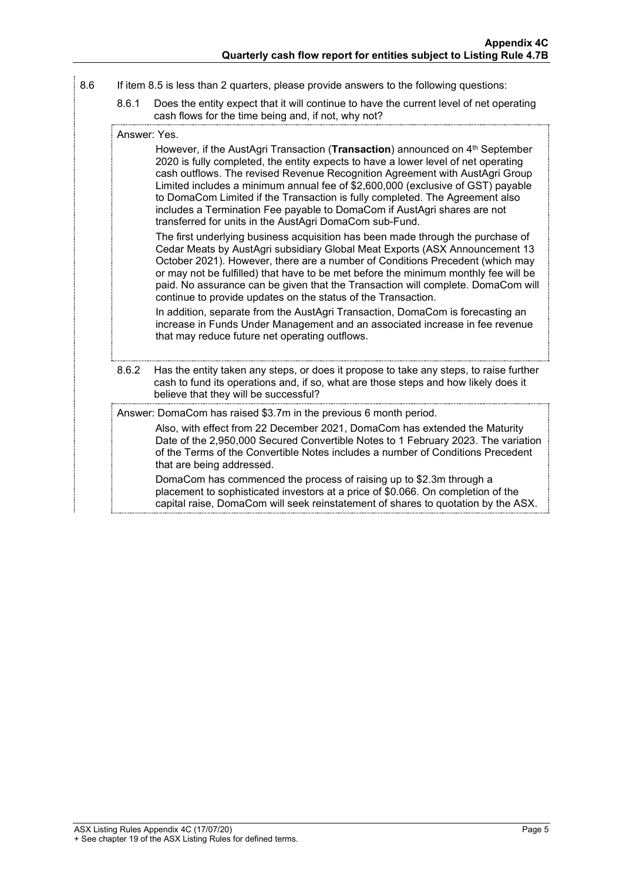- 8.6 If item 8.5 is less than 2 quarters, please provide answers to the following questions:
	- 8.6.1 Does the entity expect that it will continue to have the current level of net operating cash flows for the time being and, if not, why not?

However, if the AustAgri Transaction (**Transaction**) announced on 4<sup>th</sup> September 2020 is fully completed, the entity expects to have a lower level of net operating cash outflows. The revised Revenue Recognition Agreement with AustAgri Group Limited includes a minimum annual fee of \$2,600,000 (exclusive of GST) payable to DomaCom Limited if the Transaction is fully completed. The Agreement also includes a Termination Fee payable to DomaCom if AustAgri shares are not transferred for units in the AustAgri DomaCom sub-Fund.

The first underlying business acquisition has been made through the purchase of Cedar Meats by AustAgri subsidiary Global Meat Exports (ASX Announcement 13 October 2021). However, there are a number of Conditions Precedent (which may or may not be fulfilled) that have to be met before the minimum monthly fee will be paid. No assurance can be given that the Transaction will complete. DomaCom will continue to provide updates on the status of the Transaction.

In addition, separate from the AustAgri Transaction, DomaCom is forecasting an increase in Funds Under Management and an associated increase in fee revenue that may reduce future net operating outflows.

8.6.2 Has the entity taken any steps, or does it propose to take any steps, to raise further cash to fund its operations and, if so, what are those steps and how likely does it believe that they will be successful?

Answer: DomaCom has raised \$3.7m in the previous 6 month period.

Also, with effect from 22 December 2021, DomaCom has extended the Maturity Date of the 2,950,000 Secured Convertible Notes to 1 February 2023. The variation of the Terms of the Convertible Notes includes a number of Conditions Precedent that are being addressed.

DomaCom has commenced the process of raising up to \$2.3m through a placement to sophisticated investors at a price of \$0.066. On completion of the capital raise, DomaCom will seek reinstatement of shares to quotation by the ASX.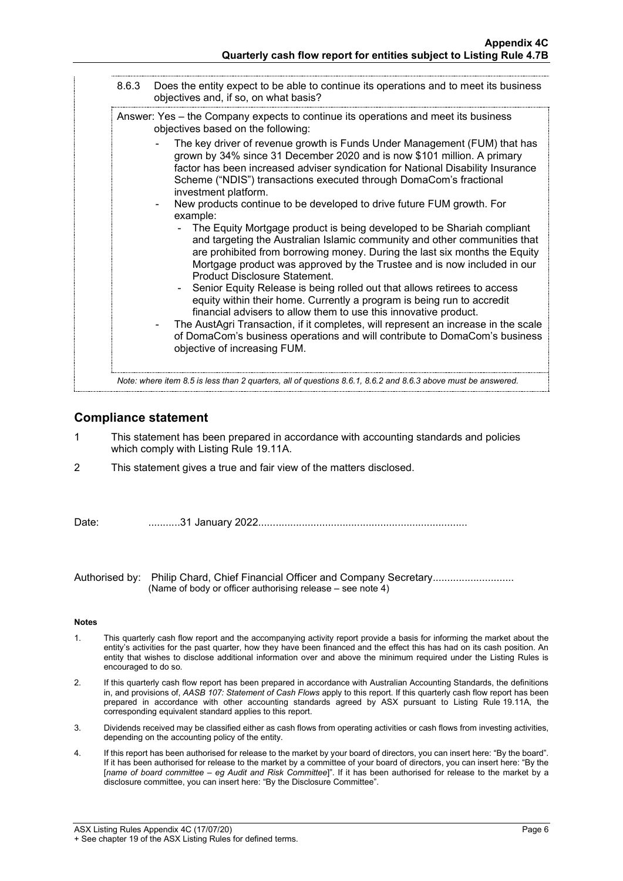| Answer: Yes – the Company expects to continue its operations and meet its business<br>objectives based on the following:                                                                                                                                                                                                                             |
|------------------------------------------------------------------------------------------------------------------------------------------------------------------------------------------------------------------------------------------------------------------------------------------------------------------------------------------------------|
| The key driver of revenue growth is Funds Under Management (FUM) that has<br>grown by 34% since 31 December 2020 and is now \$101 million. A primary<br>factor has been increased adviser syndication for National Disability Insurance<br>Scheme ("NDIS") transactions executed through DomaCom's fractional<br>investment platform.                |
| New products continue to be developed to drive future FUM growth. For<br>example:                                                                                                                                                                                                                                                                    |
| The Equity Mortgage product is being developed to be Shariah compliant<br>and targeting the Australian Islamic community and other communities that<br>are prohibited from borrowing money. During the last six months the Equity<br>Mortgage product was approved by the Trustee and is now included in our<br><b>Product Disclosure Statement.</b> |
| Senior Equity Release is being rolled out that allows retirees to access<br>equity within their home. Currently a program is being run to accredit<br>financial advisers to allow them to use this innovative product.                                                                                                                               |
| The AustAgri Transaction, if it completes, will represent an increase in the scale<br>of DomaCom's business operations and will contribute to DomaCom's business<br>objective of increasing FUM.                                                                                                                                                     |

## **Compliance statement**

- 1 This statement has been prepared in accordance with accounting standards and policies which comply with Listing Rule 19.11A.
- 2 This statement gives a true and fair view of the matters disclosed.

Date: ...........31 January 2022........................................................................

Authorised by: Philip Chard, Chief Financial Officer and Company Secretary.......................... (Name of body or officer authorising release – see note 4)

### **Notes**

- 1. This quarterly cash flow report and the accompanying activity report provide a basis for informing the market about the entity's activities for the past quarter, how they have been financed and the effect this has had on its cash position. An entity that wishes to disclose additional information over and above the minimum required under the Listing Rules is encouraged to do so.
- 2. If this quarterly cash flow report has been prepared in accordance with Australian Accounting Standards, the definitions in, and provisions of, *AASB 107: Statement of Cash Flows* apply to this report. If this quarterly cash flow report has been prepared in accordance with other accounting standards agreed by ASX pursuant to Listing Rule 19.11A, the corresponding equivalent standard applies to this report.
- 3. Dividends received may be classified either as cash flows from operating activities or cash flows from investing activities, depending on the accounting policy of the entity.
- 4. If this report has been authorised for release to the market by your board of directors, you can insert here: "By the board". If it has been authorised for release to the market by a committee of your board of directors, you can insert here: "By the [*name of board committee* – *eg Audit and Risk Committee*]". If it has been authorised for release to the market by a disclosure committee, you can insert here: "By the Disclosure Committee".